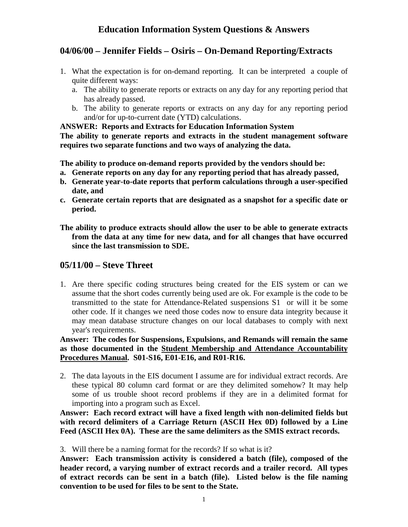# **04/06/00 – Jennifer Fields – Osiris – On-Demand Reporting/Extracts**

- 1. What the expectation is for on-demand reporting. It can be interpreted a couple of quite different ways:
	- a. The ability to generate reports or extracts on any day for any reporting period that has already passed.
	- b. The ability to generate reports or extracts on any day for any reporting period and/or for up-to-current date (YTD) calculations.

### **ANSWER: Reports and Extracts for Education Information System**

**The ability to generate reports and extracts in the student management software requires two separate functions and two ways of analyzing the data.**

**The ability to produce on-demand reports provided by the vendors should be:**

- **a. Generate reports on any day for any reporting period that has already passed,**
- **b. Generate year-to-date reports that perform calculations through a user-specified date, and**
- **c. Generate certain reports that are designated as a snapshot for a specific date or period.**

**The ability to produce extracts should allow the user to be able to generate extracts from the data at any time for new data, and for all changes that have occurred since the last transmission to SDE.**

## **05/11/00 – Steve Threet**

1. Are there specific coding structures being created for the EIS system or can we assume that the short codes currently being used are ok. For example is the code to be transmitted to the state for Attendance-Related suspensions S1 or will it be some other code. If it changes we need those codes now to ensure data integrity because it may mean database structure changes on our local databases to comply with next year's requirements.

**Answer: The codes for Suspensions, Expulsions, and Remands will remain the same as those documented in the Student Membership and Attendance Accountability Procedures Manual. S01-S16, E01-E16, and R01-R16.**

2. The data layouts in the EIS document I assume are for individual extract records. Are these typical 80 column card format or are they delimited somehow? It may help some of us trouble shoot record problems if they are in a delimited format for importing into a program such as Excel.

**Answer: Each record extract will have a fixed length with non-delimited fields but with record delimiters of a Carriage Return (ASCII Hex 0D) followed by a Line Feed (ASCII Hex 0A). These are the same delimiters as the SMIS extract records.**

3. Will there be a naming format for the records? If so what is it?

**Answer: Each transmission activity is considered a batch (file), composed of the header record, a varying number of extract records and a trailer record. All types of extract records can be sent in a batch (file). Listed below is the file naming convention to be used for files to be sent to the State.**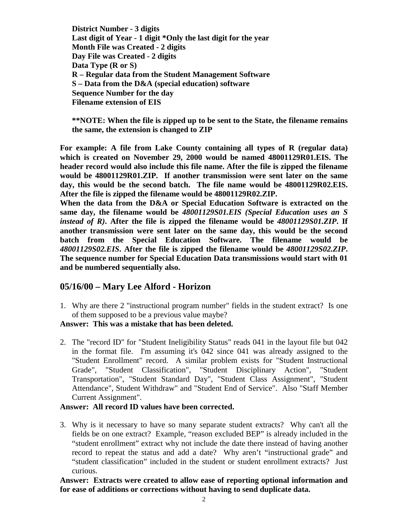**District Number - 3 digits Last digit of Year - 1 digit \*Only the last digit for the year Month File was Created - 2 digits Day File was Created - 2 digits Data Type (R or S) R – Regular data from the Student Management Software S – Data from the D&A (special education) software Sequence Number for the day Filename extension of EIS**

**\*\*NOTE: When the file is zipped up to be sent to the State, the filename remains the same, the extension is changed to ZIP**

**For example: A file from Lake County containing all types of R (regular data) which is created on November 29, 2000 would be named 48001129R01.EIS. The header record would also include this file name. After the file is zipped the filename would be 48001129R01.ZIP. If another transmission were sent later on the same day, this would be the second batch. The file name would be 48001129R02.EIS. After the file is zipped the filename would be 48001129R02.ZIP.**

**When the data from the D&A or Special Education Software is extracted on the same day, the filename would be** *48001129S01.EIS (Special Education uses an S instead of R)***. After the file is zipped the filename would be** *48001129S01.ZIP***. If another transmission were sent later on the same day, this would be the second batch from the Special Education Software. The filename would be** *48001129S02.EIS***. After the file is zipped the filename would be** *48001129S02.ZIP***. The sequence number for Special Education Data transmissions would start with 01 and be numbered sequentially also.**

### **05/16/00 – Mary Lee Alford - Horizon**

1. Why are there 2 "instructional program number" fields in the student extract? Is one of them supposed to be a previous value maybe?

#### **Answer: This was a mistake that has been deleted.**

2. The "record ID" for "Student Ineligibility Status" reads 041 in the layout file but 042 in the format file. I'm assuming it's 042 since 041 was already assigned to the "Student Enrollment" record. A similar problem exists for "Student Instructional Grade", "Student Classification", "Student Disciplinary Action", "Student Transportation", "Student Standard Day", "Student Class Assignment", "Student Attendance", Student Withdraw" and "Student End of Service". Also "Staff Member Current Assignment".

#### **Answer: All record ID values have been corrected.**

3. Why is it necessary to have so many separate student extracts? Why can't all the fields be on one extract? Example, "reason excluded BEP" is already included in the "student enrollment" extract why not include the date there instead of having another record to repeat the status and add a date? Why aren't "instructional grade" and "student classification" included in the student or student enrollment extracts? Just curious.

**Answer: Extracts were created to allow ease of reporting optional information and for ease of additions or corrections without having to send duplicate data.**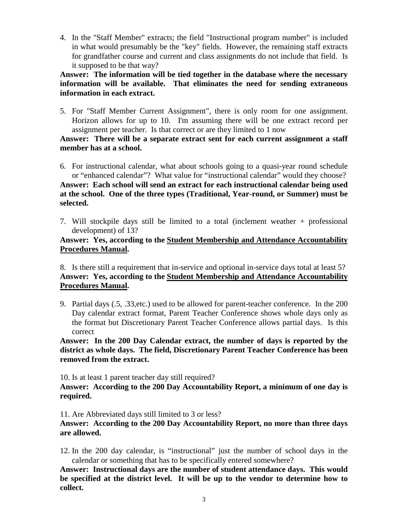4. In the "Staff Member" extracts; the field "Instructional program number" is included in what would presumably be the "key" fields. However, the remaining staff extracts for grandfather course and current and class assignments do not include that field. Is it supposed to be that way?

**Answer: The information will be tied together in the database where the necessary information will be available. That eliminates the need for sending extraneous information in each extract.**

5. For "Staff Member Current Assignment", there is only room for one assignment. Horizon allows for up to 10. I'm assuming there will be one extract record per assignment per teacher. Is that correct or are they limited to 1 now

#### **Answer: There will be a separate extract sent for each current assignment a staff member has at a school.**

6. For instructional calendar, what about schools going to a quasi-year round schedule or "enhanced calendar"? What value for "instructional calendar" would they choose? **Answer: Each school will send an extract for each instructional calendar being used at the school. One of the three types (Traditional, Year-round, or Summer) must be selected.**

7. Will stockpile days still be limited to a total (inclement weather + professional development) of 13?

#### **Answer: Yes, according to the Student Membership and Attendance Accountability Procedures Manual.**

8. Is there still a requirement that in-service and optional in-service days total at least 5? **Answer: Yes, according to the Student Membership and Attendance Accountability Procedures Manual.**

9. Partial days (.5, .33,etc.) used to be allowed for parent-teacher conference. In the 200 Day calendar extract format, Parent Teacher Conference shows whole days only as the format but Discretionary Parent Teacher Conference allows partial days. Is this correct

**Answer: In the 200 Day Calendar extract, the number of days is reported by the district as whole days. The field, Discretionary Parent Teacher Conference has been removed from the extract.**

10. Is at least 1 parent teacher day still required?

**Answer: According to the 200 Day Accountability Report, a minimum of one day is required.**

11. Are Abbreviated days still limited to 3 or less?

**Answer: According to the 200 Day Accountability Report, no more than three days are allowed.**

12. In the 200 day calendar, is "instructional" just the number of school days in the calendar or something that has to be specifically entered somewhere?

**Answer: Instructional days are the number of student attendance days. This would be specified at the district level. It will be up to the vendor to determine how to collect.**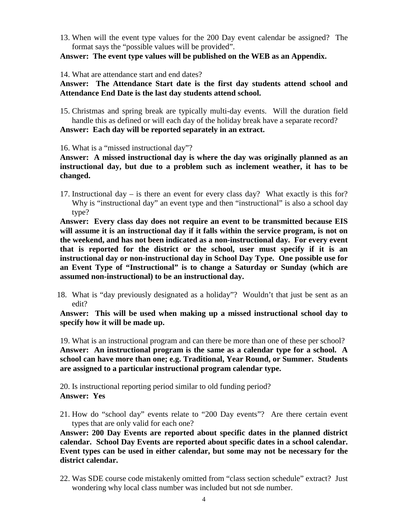13. When will the event type values for the 200 Day event calendar be assigned? The format says the "possible values will be provided".

**Answer: The event type values will be published on the WEB as an Appendix.**

14. What are attendance start and end dates?

#### **Answer: The Attendance Start date is the first day students attend school and Attendance End Date is the last day students attend school.**

15. Christmas and spring break are typically multi-day events. Will the duration field handle this as defined or will each day of the holiday break have a separate record?

**Answer: Each day will be reported separately in an extract.**

16. What is a "missed instructional day"?

**Answer: A missed instructional day is where the day was originally planned as an instructional day, but due to a problem such as inclement weather, it has to be changed.**

17. Instructional day – is there an event for every class day? What exactly is this for? Why is "instructional day" an event type and then "instructional" is also a school day type?

**Answer: Every class day does not require an event to be transmitted because EIS will assume it is an instructional day if it falls within the service program, is not on the weekend, and has not been indicated as a non-instructional day. For every event that is reported for the district or the school, user must specify if it is an instructional day or non-instructional day in School Day Type. One possible use for an Event Type of "Instructional" is to change a Saturday or Sunday (which are assumed non-instructional) to be an instructional day.**

18. What is "day previously designated as a holiday"? Wouldn't that just be sent as an edit?

**Answer: This will be used when making up a missed instructional school day to specify how it will be made up.**

19. What is an instructional program and can there be more than one of these per school? **Answer: An instructional program is the same as a calendar type for a school. A school can have more than one; e.g. Traditional, Year Round, or Summer. Students are assigned to a particular instructional program calendar type.**

20. Is instructional reporting period similar to old funding period? **Answer: Yes**

21. How do "school day" events relate to "200 Day events"? Are there certain event types that are only valid for each one?

**Answer: 200 Day Events are reported about specific dates in the planned district calendar. School Day Events are reported about specific dates in a school calendar. Event types can be used in either calendar, but some may not be necessary for the district calendar.**

22. Was SDE course code mistakenly omitted from "class section schedule" extract? Just wondering why local class number was included but not sde number.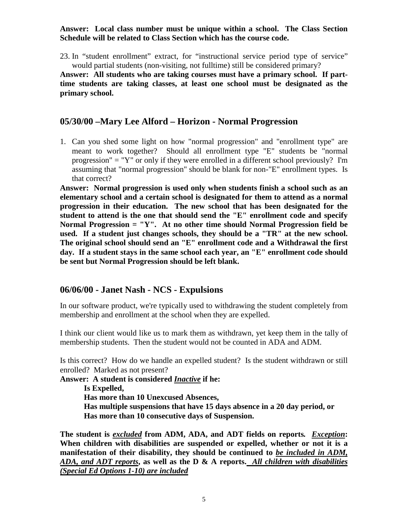#### **Answer: Local class number must be unique within a school. The Class Section Schedule will be related to Class Section which has the course code.**

23. In "student enrollment" extract, for "instructional service period type of service" would partial students (non-visiting, not fulltime) still be considered primary?

**Answer: All students who are taking courses must have a primary school. If parttime students are taking classes, at least one school must be designated as the primary school.**

### **05/30/00 –Mary Lee Alford – Horizon - Normal Progression**

1. Can you shed some light on how "normal progression" and "enrollment type" are meant to work together? Should all enrollment type "E" students be "normal progression" = "Y" or only if they were enrolled in a different school previously? I'm assuming that "normal progression" should be blank for non-"E" enrollment types. Is that correct?

**Answer: Normal progression is used only when students finish a school such as an elementary school and a certain school is designated for them to attend as a normal progression in their education. The new school that has been designated for the student to attend is the one that should send the "E" enrollment code and specify Normal Progression = "Y". At no other time should Normal Progression field be used. If a student just changes schools, they should be a "TR" at the new school. The original school should send an "E" enrollment code and a Withdrawal the first day. If a student stays in the same school each year, an "E" enrollment code should be sent but Normal Progression should be left blank.**

### **06/06/00 - Janet Nash - NCS - Expulsions**

In our software product, we're typically used to withdrawing the student completely from membership and enrollment at the school when they are expelled.

I think our client would like us to mark them as withdrawn, yet keep them in the tally of membership students. Then the student would not be counted in ADA and ADM.

Is this correct? How do we handle an expelled student? Is the student withdrawn or still enrolled? Marked as not present?

**Answer: A student is considered** *Inactive* **if he: Is Expelled, Has more than 10 Unexcused Absences, Has multiple suspensions that have 15 days absence in a 20 day period, or Has more than 10 consecutive days of Suspension.**

**The student is** *excluded* **from ADM, ADA, and ADT fields on reports***. Exception***: When children with disabilities are suspended or expelled, whether or not it is a manifestation of their disability, they should be continued to** *be included in ADM, ADA, and ADT reports***, as well as the D & A reports.** *All children with disabilities (Special Ed Options 1-10) are included*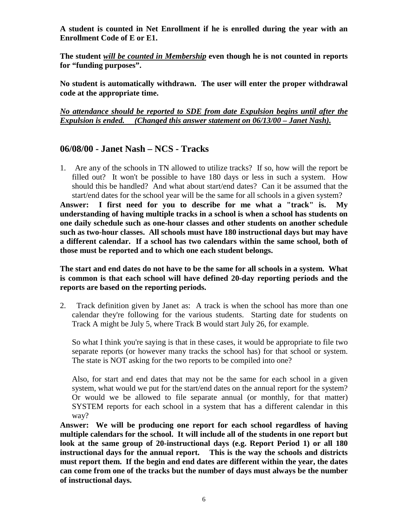**A student is counted in Net Enrollment if he is enrolled during the year with an Enrollment Code of E or E1.**

**The student** *will be counted in Membership* **even though he is not counted in reports for "funding purposes".**

**No student is automatically withdrawn. The user will enter the proper withdrawal code at the appropriate time.**

*No attendance should be reported to SDE from date Expulsion begins until after the Expulsion is ended. (Changed this answer statement on 06/13/00 – Janet Nash).*

### **06/08/00 - Janet Nash – NCS - Tracks**

1. Are any of the schools in TN allowed to utilize tracks? If so, how will the report be filled out? It won't be possible to have 180 days or less in such a system. How should this be handled? And what about start/end dates? Can it be assumed that the start/end dates for the school year will be the same for all schools in a given system? **Answer: I first need for you to describe for me what a "track" is. My understanding of having multiple tracks in a school is when a school has students on one daily schedule such as one-hour classes and other students on another schedule such as two-hour classes. All schools must have 180 instructional days but may have a different calendar. If a school has two calendars within the same school, both of those must be reported and to which one each student belongs.**

**The start and end dates do not have to be the same for all schools in a system. What is common is that each school will have defined 20-day reporting periods and the reports are based on the reporting periods.**

2. Track definition given by Janet as: A track is when the school has more than one calendar they're following for the various students. Starting date for students on Track A might be July 5, where Track B would start July 26, for example.

So what I think you're saying is that in these cases, it would be appropriate to file two separate reports (or however many tracks the school has) for that school or system. The state is NOT asking for the two reports to be compiled into one?

Also, for start and end dates that may not be the same for each school in a given system, what would we put for the start/end dates on the annual report for the system? Or would we be allowed to file separate annual (or monthly, for that matter) SYSTEM reports for each school in a system that has a different calendar in this way?

**Answer: We will be producing one report for each school regardless of having multiple calendars for the school. It will include all of the students in one report but look at the same group of 20-instructional days (e.g. Report Period 1) or all 180 instructional days for the annual report. This is the way the schools and districts must report them. If the begin and end dates are different within the year, the dates can come from one of the tracks but the number of days must always be the number of instructional days.**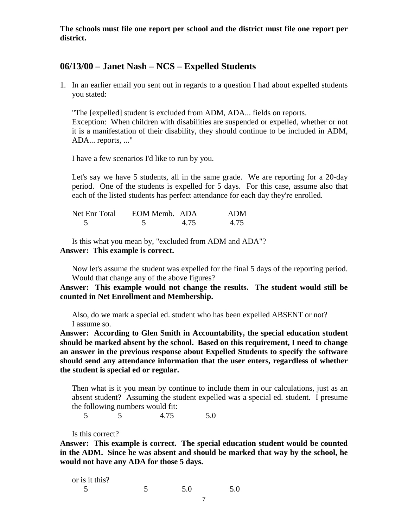**The schools must file one report per school and the district must file one report per district.**

#### **06/13/00 – Janet Nash – NCS – Expelled Students**

1. In an earlier email you sent out in regards to a question I had about expelled students you stated:

"The [expelled] student is excluded from ADM, ADA... fields on reports. Exception: When children with disabilities are suspended or expelled, whether or not it is a manifestation of their disability, they should continue to be included in ADM, ADA... reports, ..."

I have a few scenarios I'd like to run by you.

Let's say we have 5 students, all in the same grade. We are reporting for a 20-day period. One of the students is expelled for 5 days. For this case, assume also that each of the listed students has perfect attendance for each day they're enrolled.

| Net Enr Total | EOM Memb. ADA |      | ADM  |
|---------------|---------------|------|------|
|               |               | 4.75 | 4.75 |

Is this what you mean by, "excluded from ADM and ADA"? **Answer: This example is correct.**

Now let's assume the student was expelled for the final 5 days of the reporting period. Would that change any of the above figures?

**Answer: This example would not change the results. The student would still be counted in Net Enrollment and Membership.**

Also, do we mark a special ed. student who has been expelled ABSENT or not? I assume so.

**Answer: According to Glen Smith in Accountability, the special education student should be marked absent by the school. Based on this requirement, I need to change an answer in the previous response about Expelled Students to specify the software should send any attendance information that the user enters, regardless of whether the student is special ed or regular.**

Then what is it you mean by continue to include them in our calculations, just as an absent student? Assuming the student expelled was a special ed. student. I presume the following numbers would fit:

5 5 4.75 5.0

Is this correct?

**Answer: This example is correct. The special education student would be counted in the ADM. Since he was absent and should be marked that way by the school, he would not have any ADA for those 5 days.**

| or is it this? |     |     |
|----------------|-----|-----|
| . .            | 5.0 | 5.0 |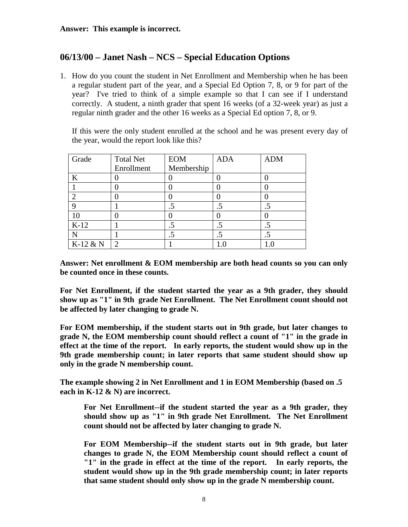## **06/13/00 – Janet Nash – NCS – Special Education Options**

1. How do you count the student in Net Enrollment and Membership when he has been a regular student part of the year, and a Special Ed Option 7, 8, or 9 for part of the year? I've tried to think of a simple example so that I can see if I understand correctly. A student, a ninth grader that spent 16 weeks (of a 32-week year) as just a regular ninth grader and the other 16 weeks as a Special Ed option 7, 8, or 9.

If this were the only student enrolled at the school and he was present every day of the year, would the report look like this?

| Grade    | <b>Total Net</b> | <b>EOM</b> | <b>ADA</b> | <b>ADM</b>           |
|----------|------------------|------------|------------|----------------------|
|          | Enrollment       | Membership |            |                      |
| K        |                  |            |            |                      |
|          |                  |            |            |                      |
|          |                  |            |            |                      |
|          |                  | .5         |            |                      |
|          |                  |            |            |                      |
| $K-12$   |                  | $.5\,$     |            | .5                   |
|          |                  |            |            | $\ddot{\phantom{a}}$ |
| K-12 & N | ⌒                |            |            |                      |

**Answer: Net enrollment & EOM membership are both head counts so you can only be counted once in these counts.**

**For Net Enrollment, if the student started the year as a 9th grader, they should show up as "1" in 9th grade Net Enrollment. The Net Enrollment count should not be affected by later changing to grade N.**

**For EOM membership, if the student starts out in 9th grade, but later changes to grade N, the EOM membership count should reflect a count of "1" in the grade in effect at the time of the report. In early reports, the student would show up in the 9th grade membership count; in later reports that same student should show up only in the grade N membership count.**

**The example showing 2 in Net Enrollment and 1 in EOM Membership (based on .5 each in K-12 & N) are incorrect.**

**For Net Enrollment--if the student started the year as a 9th grader, they should show up as "1" in 9th grade Net Enrollment. The Net Enrollment count should not be affected by later changing to grade N.**

**For EOM Membership--if the student starts out in 9th grade, but later changes to grade N, the EOM Membership count should reflect a count of "1" in the grade in effect at the time of the report. In early reports, the student would show up in the 9th grade membership count; in later reports that same student should only show up in the grade N membership count.**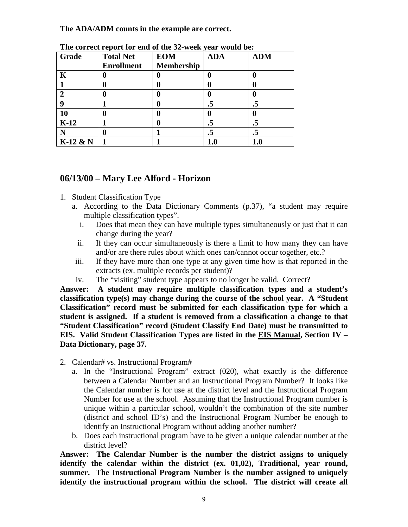#### **The ADA/ADM counts in the example are correct.**

| Grade        | <b>Total Net</b>  | <b>EOM</b> | $\overline{\phantom{a}}$<br><b>ADA</b> | <b>ADM</b> |
|--------------|-------------------|------------|----------------------------------------|------------|
|              | <b>Enrollment</b> | Membership |                                        |            |
| K            |                   | 0          |                                        | 0          |
|              |                   | 0          |                                        | o          |
| $\mathbf{2}$ |                   | 0          |                                        | 0          |
| 9            |                   | 0          | $\cdot$ 5                              | .5         |
| 10           |                   | 0          | U                                      | 0          |
| $K-12$       |                   | 0          | .5                                     | .5         |
|              |                   |            | .5                                     | $\cdot$ 5  |
| $K-12$ & N   |                   |            |                                        |            |

**The correct report for end of the 32-week year would be:**

## **06/13/00 – Mary Lee Alford - Horizon**

- 1. Student Classification Type
	- a. According to the Data Dictionary Comments (p.37), "a student may require multiple classification types".
		- i. Does that mean they can have multiple types simultaneously or just that it can change during the year?
		- ii. If they can occur simultaneously is there a limit to how many they can have and/or are there rules about which ones can/cannot occur together, etc.?
	- iii. If they have more than one type at any given time how is that reported in the extracts (ex. multiple records per student)?
	- iv. The "visiting" student type appears to no longer be valid. Correct?

**Answer: A student may require multiple classification types and a student's classification type(s) may change during the course of the school year. A "Student Classification" record must be submitted for each classification type for which a student is assigned. If a student is removed from a classification a change to that "Student Classification" record (Student Classify End Date) must be transmitted to EIS. Valid Student Classification Types are listed in the EIS Manual, Section IV – Data Dictionary, page 37.**

- 2. Calendar# vs. Instructional Program#
	- a. In the "Instructional Program" extract (020), what exactly is the difference between a Calendar Number and an Instructional Program Number? It looks like the Calendar number is for use at the district level and the Instructional Program Number for use at the school. Assuming that the Instructional Program number is unique within a particular school, wouldn't the combination of the site number (district and school ID's) and the Instructional Program Number be enough to identify an Instructional Program without adding another number?
	- b. Does each instructional program have to be given a unique calendar number at the district level?

**Answer: The Calendar Number is the number the district assigns to uniquely identify the calendar within the district (ex. 01,02), Traditional, year round, summer. The Instructional Program Number is the number assigned to uniquely identify the instructional program within the school. The district will create all**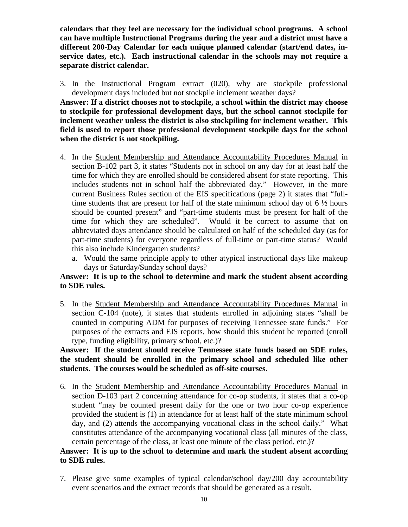**calendars that they feel are necessary for the individual school programs. A school can have multiple Instructional Programs during the year and a district must have a different 200-Day Calendar for each unique planned calendar (start/end dates, inservice dates, etc.). Each instructional calendar in the schools may not require a separate district calendar.**

3. In the Instructional Program extract (020), why are stockpile professional development days included but not stockpile inclement weather days?

**Answer: If a district chooses not to stockpile, a school within the district may choose to stockpile for professional development days, but the school cannot stockpile for inclement weather unless the district is also stockpiling for inclement weather. This field is used to report those professional development stockpile days for the school when the district is not stockpiling.**

- 4. In the Student Membership and Attendance Accountability Procedures Manual in section B-102 part 3, it states "Students not in school on any day for at least half the time for which they are enrolled should be considered absent for state reporting. This includes students not in school half the abbreviated day." However, in the more current Business Rules section of the EIS specifications (page 2) it states that "fulltime students that are present for half of the state minimum school day of  $6\frac{1}{2}$  hours should be counted present" and "part-time students must be present for half of the time for which they are scheduled". Would it be correct to assume that on abbreviated days attendance should be calculated on half of the scheduled day (as for part-time students) for everyone regardless of full-time or part-time status? Would this also include Kindergarten students?
	- a. Would the same principle apply to other atypical instructional days like makeup days or Saturday/Sunday school days?

#### **Answer: It is up to the school to determine and mark the student absent according to SDE rules.**

5. In the Student Membership and Attendance Accountability Procedures Manual in section C-104 (note), it states that students enrolled in adjoining states "shall be counted in computing ADM for purposes of receiving Tennessee state funds." For purposes of the extracts and EIS reports, how should this student be reported (enroll type, funding eligibility, primary school, etc.)?

#### **Answer: If the student should receive Tennessee state funds based on SDE rules, the student should be enrolled in the primary school and scheduled like other students. The courses would be scheduled as off-site courses.**

6. In the Student Membership and Attendance Accountability Procedures Manual in section D-103 part 2 concerning attendance for co-op students, it states that a co-op student "may be counted present daily for the one or two hour co-op experience provided the student is (1) in attendance for at least half of the state minimum school day, and (2) attends the accompanying vocational class in the school daily." What constitutes attendance of the accompanying vocational class (all minutes of the class, certain percentage of the class, at least one minute of the class period, etc.)?

#### **Answer: It is up to the school to determine and mark the student absent according to SDE rules.**

7. Please give some examples of typical calendar/school day/200 day accountability event scenarios and the extract records that should be generated as a result.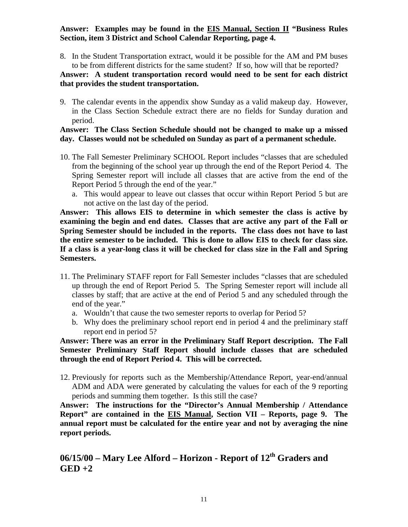#### **Answer: Examples may be found in the EIS Manual, Section II "Business Rules Section, item 3 District and School Calendar Reporting, page 4.**

8. In the Student Transportation extract, would it be possible for the AM and PM buses to be from different districts for the same student? If so, how will that be reported?

#### **Answer: A student transportation record would need to be sent for each district that provides the student transportation.**

9. The calendar events in the appendix show Sunday as a valid makeup day. However, in the Class Section Schedule extract there are no fields for Sunday duration and period.

#### **Answer: The Class Section Schedule should not be changed to make up a missed day. Classes would not be scheduled on Sunday as part of a permanent schedule.**

- 10. The Fall Semester Preliminary SCHOOL Report includes "classes that are scheduled from the beginning of the school year up through the end of the Report Period 4. The Spring Semester report will include all classes that are active from the end of the Report Period 5 through the end of the year."
	- a. This would appear to leave out classes that occur within Report Period 5 but are not active on the last day of the period.

**Answer: This allows EIS to determine in which semester the class is active by examining the begin and end dates. Classes that are active any part of the Fall or Spring Semester should be included in the reports. The class does not have to last the entire semester to be included. This is done to allow EIS to check for class size. If a class is a year-long class it will be checked for class size in the Fall and Spring Semesters.**

- 11. The Preliminary STAFF report for Fall Semester includes "classes that are scheduled up through the end of Report Period 5. The Spring Semester report will include all classes by staff; that are active at the end of Period 5 and any scheduled through the end of the year."
	- a. Wouldn't that cause the two semester reports to overlap for Period 5?
	- b. Why does the preliminary school report end in period 4 and the preliminary staff report end in period 5?

**Answer: There was an error in the Preliminary Staff Report description. The Fall Semester Preliminary Staff Report should include classes that are scheduled through the end of Report Period 4. This will be corrected.**

12. Previously for reports such as the Membership/Attendance Report, year-end/annual ADM and ADA were generated by calculating the values for each of the 9 reporting periods and summing them together. Is this still the case?

**Answer: The instructions for the "Director's Annual Membership / Attendance Report" are contained in the EIS Manual, Section VII – Reports, page 9. The annual report must be calculated for the entire year and not by averaging the nine report periods.**

## **06/15/00 – Mary Lee Alford – Horizon - Report of 12th Graders and GED +2**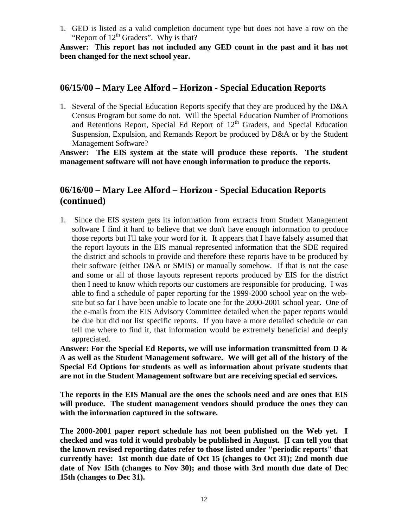1. GED is listed as a valid completion document type but does not have a row on the "Report of  $12<sup>th</sup>$  Graders". Why is that?

**Answer: This report has not included any GED count in the past and it has not been changed for the next school year.**

### **06/15/00 – Mary Lee Alford – Horizon - Special Education Reports**

1. Several of the Special Education Reports specify that they are produced by the D&A Census Program but some do not. Will the Special Education Number of Promotions and Retentions Report, Special Ed Report of  $12<sup>th</sup>$  Graders, and Special Education Suspension, Expulsion, and Remands Report be produced by D&A or by the Student Management Software?

**Answer: The EIS system at the state will produce these reports. The student management software will not have enough information to produce the reports.**

## **06/16/00 – Mary Lee Alford – Horizon - Special Education Reports (continued)**

1. Since the EIS system gets its information from extracts from Student Management software I find it hard to believe that we don't have enough information to produce those reports but I'll take your word for it. It appears that I have falsely assumed that the report layouts in the EIS manual represented information that the SDE required the district and schools to provide and therefore these reports have to be produced by their software (either D&A or SMIS) or manually somehow. If that is not the case and some or all of those layouts represent reports produced by EIS for the district then I need to know which reports our customers are responsible for producing. I was able to find a schedule of paper reporting for the 1999-2000 school year on the website but so far I have been unable to locate one for the 2000-2001 school year. One of the e-mails from the EIS Advisory Committee detailed when the paper reports would be due but did not list specific reports. If you have a more detailed schedule or can tell me where to find it, that information would be extremely beneficial and deeply appreciated.

**Answer: For the Special Ed Reports, we will use information transmitted from D & A as well as the Student Management software. We will get all of the history of the Special Ed Options for students as well as information about private students that are not in the Student Management software but are receiving special ed services.**

**The reports in the EIS Manual are the ones the schools need and are ones that EIS will produce. The student management vendors should produce the ones they can with the information captured in the software.**

**The 2000-2001 paper report schedule has not been published on the Web yet. I checked and was told it would probably be published in August. [I can tell you that the known revised reporting dates refer to those listed under "periodic reports" that currently have: 1st month due date of Oct 15 (changes to Oct 31); 2nd month due date of Nov 15th (changes to Nov 30); and those with 3rd month due date of Dec 15th (changes to Dec 31).**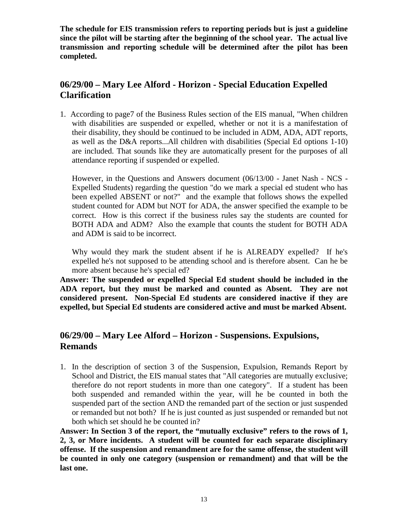**The schedule for EIS transmission refers to reporting periods but is just a guideline since the pilot will be starting after the beginning of the school year. The actual live transmission and reporting schedule will be determined after the pilot has been completed.**

## **06/29/00 – Mary Lee Alford - Horizon - Special Education Expelled Clarification**

1. According to page7 of the Business Rules section of the EIS manual, "When children with disabilities are suspended or expelled, whether or not it is a manifestation of their disability, they should be continued to be included in ADM, ADA, ADT reports, as well as the D&A reports...All children with disabilities (Special Ed options 1-10) are included. That sounds like they are automatically present for the purposes of all attendance reporting if suspended or expelled.

However, in the Questions and Answers document (06/13/00 - Janet Nash - NCS - Expelled Students) regarding the question "do we mark a special ed student who has been expelled ABSENT or not?" and the example that follows shows the expelled student counted for ADM but NOT for ADA, the answer specified the example to be correct. How is this correct if the business rules say the students are counted for BOTH ADA and ADM? Also the example that counts the student for BOTH ADA and ADM is said to be incorrect.

Why would they mark the student absent if he is ALREADY expelled? If he's expelled he's not supposed to be attending school and is therefore absent. Can he be more absent because he's special ed?

**Answer: The suspended or expelled Special Ed student should be included in the ADA report, but they must be marked and counted as Absent. They are not considered present. Non-Special Ed students are considered inactive if they are expelled, but Special Ed students are considered active and must be marked Absent.**

## **06/29/00 – Mary Lee Alford – Horizon - Suspensions. Expulsions, Remands**

1. In the description of section 3 of the Suspension, Expulsion, Remands Report by School and District, the EIS manual states that "All categories are mutually exclusive; therefore do not report students in more than one category". If a student has been both suspended and remanded within the year, will he be counted in both the suspended part of the section AND the remanded part of the section or just suspended or remanded but not both? If he is just counted as just suspended or remanded but not both which set should he be counted in?

**Answer: In Section 3 of the report, the "mutually exclusive" refers to the rows of 1, 2, 3, or More incidents. A student will be counted for each separate disciplinary offense. If the suspension and remandment are for the same offense, the student will be counted in only one category (suspension or remandment) and that will be the last one.**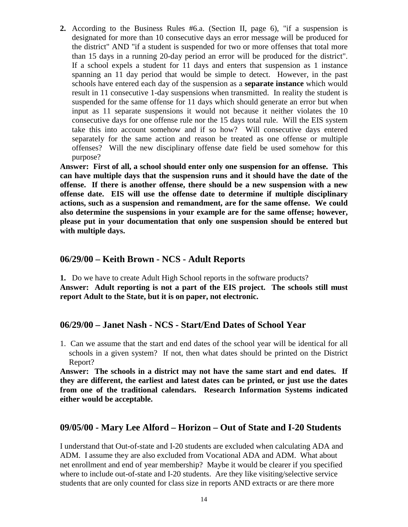**2.** According to the Business Rules #6.a. (Section II, page 6), "if a suspension is designated for more than 10 consecutive days an error message will be produced for the district" AND "if a student is suspended for two or more offenses that total more than 15 days in a running 20-day period an error will be produced for the district". If a school expels a student for 11 days and enters that suspension as 1 instance spanning an 11 day period that would be simple to detect. However, in the past schools have entered each day of the suspension as a **separate instance** which would result in 11 consecutive 1-day suspensions when transmitted. In reality the student is suspended for the same offense for 11 days which should generate an error but when input as 11 separate suspensions it would not because it neither violates the 10 consecutive days for one offense rule nor the 15 days total rule. Will the EIS system take this into account somehow and if so how? Will consecutive days entered separately for the same action and reason be treated as one offense or multiple offenses? Will the new disciplinary offense date field be used somehow for this purpose?

**Answer: First of all, a school should enter only one suspension for an offense. This can have multiple days that the suspension runs and it should have the date of the offense. If there is another offense, there should be a new suspension with a new offense date. EIS will use the offense date to determine if multiple disciplinary actions, such as a suspension and remandment, are for the same offense. We could also determine the suspensions in your example are for the same offense; however, please put in your documentation that only one suspension should be entered but with multiple days.**

### **06/29/00 – Keith Brown - NCS - Adult Reports**

**1.** Do we have to create Adult High School reports in the software products? **Answer: Adult reporting is not a part of the EIS project. The schools still must report Adult to the State, but it is on paper, not electronic.**

### **06/29/00 – Janet Nash - NCS - Start/End Dates of School Year**

1. Can we assume that the start and end dates of the school year will be identical for all schools in a given system? If not, then what dates should be printed on the District Report?

**Answer: The schools in a district may not have the same start and end dates. If they are different, the earliest and latest dates can be printed, or just use the dates from one of the traditional calendars. Research Information Systems indicated either would be acceptable.**

### **09/05/00 - Mary Lee Alford – Horizon – Out of State and I-20 Students**

I understand that Out-of-state and I-20 students are excluded when calculating ADA and ADM. I assume they are also excluded from Vocational ADA and ADM. What about net enrollment and end of year membership? Maybe it would be clearer if you specified where to include out-of-state and I-20 students. Are they like visiting/selective service students that are only counted for class size in reports AND extracts or are there more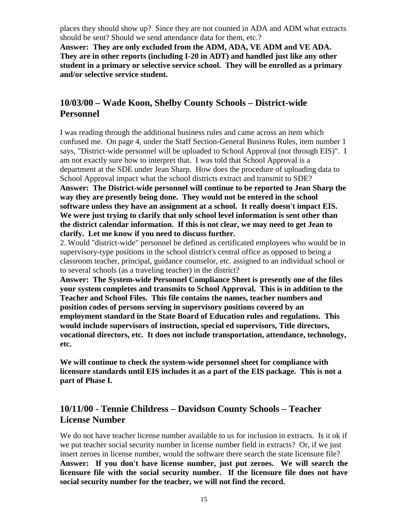places they should show up? Since they are not counted in ADA and ADM what extracts should be sent? Should we send attendance data for them, etc.?

**Answer: They are only excluded from the ADM, ADA, VE ADM and VE ADA. They are in other reports (including I-20 in ADT) and handled just like any other student in a primary or selective service school. They will be enrolled as a primary and/or selective service student.**

## **10/03/00 – Wade Koon, Shelby County Schools – District-wide Personnel**

I was reading through the additional business rules and came across an item which confused me. On page 4, under the Staff Section-General Business Rules, item number 1 says, "District-wide personnel will be uploaded to School Approval (not through EIS)". I am not exactly sure how to interpret that. I was told that School Approval is a department at the SDE under Jean Sharp. How does the procedure of uploading data to School Approval impact what the school districts extract and transmit to SDE? **Answer: The District-wide personnel will continue to be reported to Jean Sharp the way they are presently being done. They would not be entered in the school software unless they have an assignment at a school. It really doesn't impact EIS. We were just trying to clarify that only school level information is sent other than the district calendar information. If this is not clear, we may need to get Jean to clarify. Let me know if you need to discuss further.**

2. Would "district-wide" personnel be defined as certificated employees who would be in supervisory-type positions in the school district's central office as opposed to being a classroom teacher, principal, guidance counselor, etc. assigned to an individual school or to several schools (as a traveling teacher) in the district?

**Answer: The System-wide Personnel Compliance Sheet is presently one of the files your system completes and transmits to School Approval. This is in addition to the Teacher and School Files. This file contains the names, teacher numbers and position codes of persons serving in supervisory positions covered by an employment standard in the State Board of Education rules and regulations. This would include supervisors of instruction, special ed supervisors, Title directors, vocational directors, etc. It does not include transportation, attendance, technology, etc.**

**We will continue to check the system-wide personnel sheet for compliance with licensure standards until EIS includes it as a part of the EIS package. This is not a part of Phase I.**

## **10/11/00 - Tennie Childress – Davidson County Schools – Teacher License Number**

We do not have teacher license number available to us for inclusion in extracts. Is it ok if we put teacher social security number in license number field in extracts? Or, if we just insert zeroes in license number, would the software there search the state licensure file? **Answer: If you don't have license number, just put zeroes. We will search the licensure file with the social security number. If the licensure file does not have social security number for the teacher, we will not find the record.**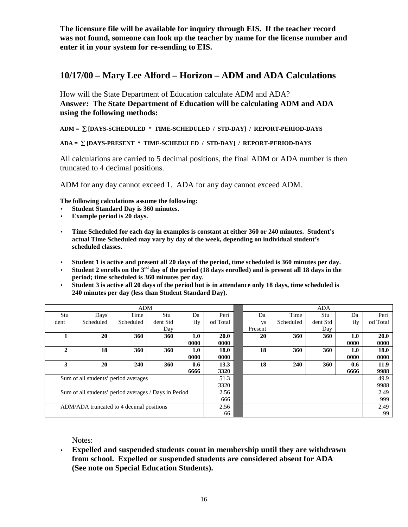**The licensure file will be available for inquiry through EIS. If the teacher record was not found, someone can look up the teacher by name for the license number and enter it in your system for re-sending to EIS.**

## **10/17/00 – Mary Lee Alford – Horizon – ADM and ADA Calculations**

How will the State Department of Education calculate ADM and ADA? **Answer: The State Department of Education will be calculating ADM and ADA using the following methods:**

**ADM = [DAYS-SCHEDULED \* TIME-SCHEDULED / STD-DAY] / REPORT-PERIOD-DAYS**

#### **ADA = [DAYS-PRESENT \* TIME-SCHEDULED / STD-DAY] / REPORT-PERIOD-DAYS**

All calculations are carried to 5 decimal positions, the final ADM or ADA number is then truncated to 4 decimal positions.

ADM for any day cannot exceed 1. ADA for any day cannot exceed ADM.

**The following calculations assume the following:**

- **Student Standard Day is 360 minutes.**
- **Example period is 20 days.**
- **Time Scheduled for each day in examples is constant at either 360 or 240 minutes. Student's actual Time Scheduled may vary by day of the week, depending on individual student's scheduled classes.**
- **Student 1 is active and present all 20 days of the period, time scheduled is 360 minutes per day.**
- **Student 2 enrolls on the 3rd day of the period (18 days enrolled) and is present all 18 days in the period; time scheduled is 360 minutes per day.**
- **Student 3 is active all 20 days of the period but is in attendance only 18 days, time scheduled is 240 minutes per day (less than Student Standard Day).**

| <b>ADM</b>                                            |           |           |          |      |          |         | <b>ADA</b> |          |      |          |
|-------------------------------------------------------|-----------|-----------|----------|------|----------|---------|------------|----------|------|----------|
| Stu                                                   | Days      | Time      | Stu      | Da   | Peri     | Da      | Time       | Stu      | Da   | Peri     |
| dent                                                  | Scheduled | Scheduled | dent Std | ily  | od Total | ys      | Scheduled  | dent Std | ily  | od Total |
|                                                       |           |           | Day      |      |          | Present |            | Day      |      |          |
| 1                                                     | 20        | 360       | 360      | 1.0  | 20.0     | 20      | 360        | 360      | 1.0  | 20.0     |
|                                                       |           |           |          | 0000 | 0000     |         |            |          | 0000 | 0000     |
| $\overline{2}$                                        | 18        | 360       | 360      | 1.0  | 18.0     | 18      | 360        | 360      | 1.0  | 18.0     |
|                                                       |           |           |          | 0000 | 0000     |         |            |          | 0000 | 0000     |
| 3                                                     | 20        | 240       | 360      | 0.6  | 13.3     | 18      | 240        | 360      | 0.6  | 11.9     |
|                                                       |           |           |          | 6666 | 3320     |         |            |          | 6666 | 9988     |
| Sum of all students' period averages                  |           |           | 51.3     |      |          |         |            | 49.9     |      |          |
|                                                       |           |           | 3320     |      |          |         |            | 9988     |      |          |
| Sum of all students' period averages / Days in Period |           |           | 2.56     |      |          |         |            | 2.49     |      |          |
|                                                       |           |           | 666      |      |          |         |            | 999      |      |          |
| ADM/ADA truncated to 4 decimal positions              |           |           | 2.56     |      |          |         |            | 2.49     |      |          |
|                                                       |           |           | 66       |      |          |         |            | 99       |      |          |

Notes:

• **Expelled and suspended students count in membership until they are withdrawn from school. Expelled or suspended students are considered absent for ADA (See note on Special Education Students).**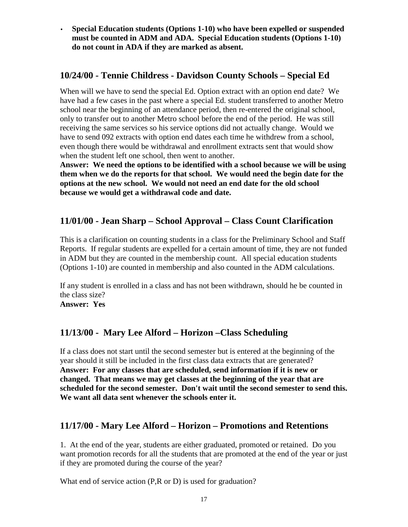• **Special Education students (Options 1-10) who have been expelled or suspended must be counted in ADM and ADA. Special Education students (Options 1-10) do not count in ADA if they are marked as absent.**

## **10/24/00 - Tennie Childress - Davidson County Schools – Special Ed**

When will we have to send the special Ed. Option extract with an option end date? We have had a few cases in the past where a special Ed. student transferred to another Metro school near the beginning of an attendance period, then re-entered the original school, only to transfer out to another Metro school before the end of the period. He was still receiving the same services so his service options did not actually change. Would we have to send 092 extracts with option end dates each time he withdrew from a school, even though there would be withdrawal and enrollment extracts sent that would show when the student left one school, then went to another.

**Answer: We need the options to be identified with a school because we will be using them when we do the reports for that school. We would need the begin date for the options at the new school. We would not need an end date for the old school because we would get a withdrawal code and date.**

# **11/01/00 - Jean Sharp – School Approval – Class Count Clarification**

This is a clarification on counting students in a class for the Preliminary School and Staff Reports. If regular students are expelled for a certain amount of time, they are not funded in ADM but they are counted in the membership count. All special education students (Options 1-10) are counted in membership and also counted in the ADM calculations.

If any student is enrolled in a class and has not been withdrawn, should he be counted in the class size? **Answer: Yes**

# **11/13/00 - Mary Lee Alford – Horizon –Class Scheduling**

If a class does not start until the second semester but is entered at the beginning of the year should it still be included in the first class data extracts that are generated? **Answer: For any classes that are scheduled, send information if it is new or changed. That means we may get classes at the beginning of the year that are scheduled for the second semester. Don't wait until the second semester to send this. We want all data sent whenever the schools enter it.**

# **11/17/00 - Mary Lee Alford – Horizon – Promotions and Retentions**

1. At the end of the year, students are either graduated, promoted or retained. Do you want promotion records for all the students that are promoted at the end of the year or just if they are promoted during the course of the year?

What end of service action (P,R or D) is used for graduation?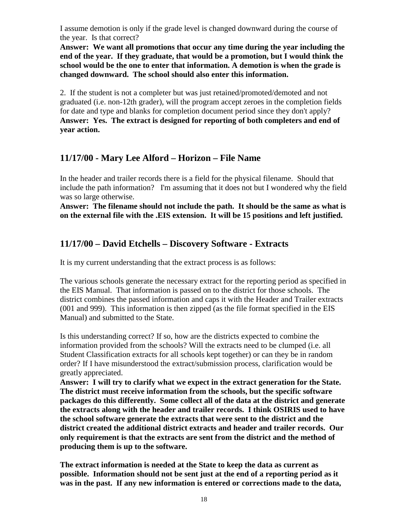I assume demotion is only if the grade level is changed downward during the course of the year. Is that correct?

**Answer: We want all promotions that occur any time during the year including the end of the year. If they graduate, that would be a promotion, but I would think the school would be the one to enter that information. A demotion is when the grade is changed downward. The school should also enter this information.**

2. If the student is not a completer but was just retained/promoted/demoted and not graduated (i.e. non-12th grader), will the program accept zeroes in the completion fields for date and type and blanks for completion document period since they don't apply? **Answer: Yes. The extract is designed for reporting of both completers and end of year action.**

## **11/17/00 - Mary Lee Alford – Horizon – File Name**

In the header and trailer records there is a field for the physical filename. Should that include the path information? I'm assuming that it does not but I wondered why the field was so large otherwise.

**Answer: The filename should not include the path. It should be the same as what is on the external file with the .EIS extension. It will be 15 positions and left justified.**

# **11/17/00 – David Etchells – Discovery Software - Extracts**

It is my current understanding that the extract process is as follows:

The various schools generate the necessary extract for the reporting period as specified in the EIS Manual. That information is passed on to the district for those schools. The district combines the passed information and caps it with the Header and Trailer extracts (001 and 999). This information is then zipped (as the file format specified in the EIS Manual) and submitted to the State.

Is this understanding correct? If so, how are the districts expected to combine the information provided from the schools? Will the extracts need to be clumped (i.e. all Student Classification extracts for all schools kept together) or can they be in random order? If I have misunderstood the extract/submission process, clarification would be greatly appreciated.

**Answer: I will try to clarify what we expect in the extract generation for the State. The district must receive information from the schools, but the specific software packages do this differently. Some collect all of the data at the district and generate the extracts along with the header and trailer records. I think OSIRIS used to have the school software generate the extracts that were sent to the district and the district created the additional district extracts and header and trailer records. Our only requirement is that the extracts are sent from the district and the method of producing them is up to the software.**

**The extract information is needed at the State to keep the data as current as possible. Information should not be sent just at the end of a reporting period as it was in the past. If any new information is entered or corrections made to the data,**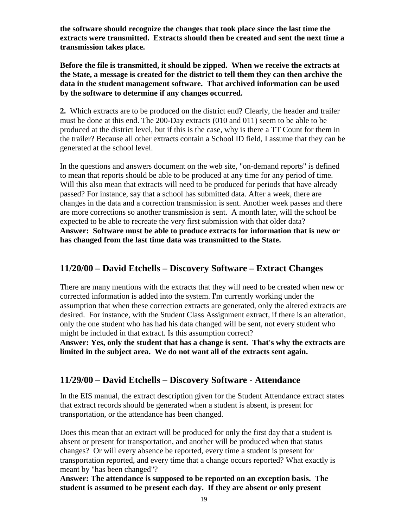**the software should recognize the changes that took place since the last time the extracts were transmitted. Extracts should then be created and sent the next time a transmission takes place.**

**Before the file is transmitted, it should be zipped. When we receive the extracts at the State, a message is created for the district to tell them they can then archive the data in the student management software. That archived information can be used by the software to determine if any changes occurred.**

**2.** Which extracts are to be produced on the district end? Clearly, the header and trailer must be done at this end. The 200-Day extracts (010 and 011) seem to be able to be produced at the district level, but if this is the case, why is there a TT Count for them in the trailer? Because all other extracts contain a School ID field, I assume that they can be generated at the school level.

In the questions and answers document on the web site, "on-demand reports" is defined to mean that reports should be able to be produced at any time for any period of time. Will this also mean that extracts will need to be produced for periods that have already passed? For instance, say that a school has submitted data. After a week, there are changes in the data and a correction transmission is sent. Another week passes and there are more corrections so another transmission is sent. A month later, will the school be expected to be able to recreate the very first submission with that older data? **Answer: Software must be able to produce extracts for information that is new or has changed from the last time data was transmitted to the State.**

## **11/20/00 – David Etchells – Discovery Software – Extract Changes**

There are many mentions with the extracts that they will need to be created when new or corrected information is added into the system. I'm currently working under the assumption that when these correction extracts are generated, only the altered extracts are desired. For instance, with the Student Class Assignment extract, if there is an alteration, only the one student who has had his data changed will be sent, not every student who might be included in that extract. Is this assumption correct?

**Answer: Yes, only the student that has a change is sent. That's why the extracts are limited in the subject area. We do not want all of the extracts sent again.**

# **11/29/00 – David Etchells – Discovery Software - Attendance**

In the EIS manual, the extract description given for the Student Attendance extract states that extract records should be generated when a student is absent, is present for transportation, or the attendance has been changed.

Does this mean that an extract will be produced for only the first day that a student is absent or present for transportation, and another will be produced when that status changes? Or will every absence be reported, every time a student is present for transportation reported, and every time that a change occurs reported? What exactly is meant by "has been changed"?

**Answer: The attendance is supposed to be reported on an exception basis. The student is assumed to be present each day. If they are absent or only present**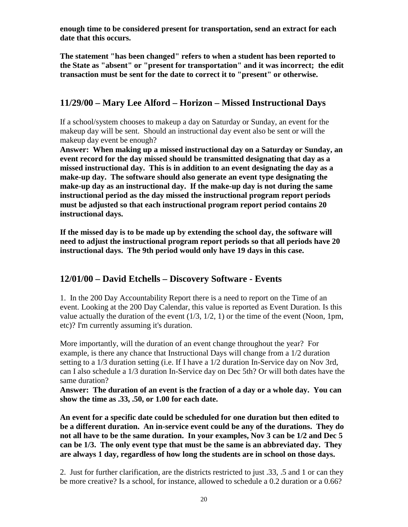**enough time to be considered present for transportation, send an extract for each date that this occurs.**

**The statement "has been changed" refers to when a student has been reported to the State as "absent" or "present for transportation" and it was incorrect; the edit transaction must be sent for the date to correct it to "present" or otherwise.**

## **11/29/00 – Mary Lee Alford – Horizon – Missed Instructional Days**

If a school/system chooses to makeup a day on Saturday or Sunday, an event for the makeup day will be sent. Should an instructional day event also be sent or will the makeup day event be enough?

**Answer: When making up a missed instructional day on a Saturday or Sunday, an event record for the day missed should be transmitted designating that day as a missed instructional day. This is in addition to an event designating the day as a make-up day. The software should also generate an event type designating the make-up day as an instructional day. If the make-up day is not during the same instructional period as the day missed the instructional program report periods must be adjusted so that each instructional program report period contains 20 instructional days.**

**If the missed day is to be made up by extending the school day, the software will need to adjust the instructional program report periods so that all periods have 20 instructional days. The 9th period would only have 19 days in this case.**

## **12/01/00 – David Etchells – Discovery Software - Events**

1. In the 200 Day Accountability Report there is a need to report on the Time of an event. Looking at the 200 Day Calendar, this value is reported as Event Duration. Is this value actually the duration of the event  $(1/3, 1/2, 1)$  or the time of the event (Noon, 1pm, etc)? I'm currently assuming it's duration.

More importantly, will the duration of an event change throughout the year? For example, is there any chance that Instructional Days will change from a 1/2 duration setting to a 1/3 duration setting (i.e. If I have a 1/2 duration In-Service day on Nov 3rd, can I also schedule a 1/3 duration In-Service day on Dec 5th? Or will both dates have the same duration?

**Answer: The duration of an event is the fraction of a day or a whole day. You can show the time as .33, .50, or 1.00 for each date.**

**An event for a specific date could be scheduled for one duration but then edited to be a different duration. An in-service event could be any of the durations. They do not all have to be the same duration. In your examples, Nov 3 can be 1/2 and Dec 5 can be 1/3. The only event type that must be the same is an abbreviated day. They are always 1 day, regardless of how long the students are in school on those days.**

2. Just for further clarification, are the districts restricted to just .33, .5 and 1 or can they be more creative? Is a school, for instance, allowed to schedule a 0.2 duration or a 0.66?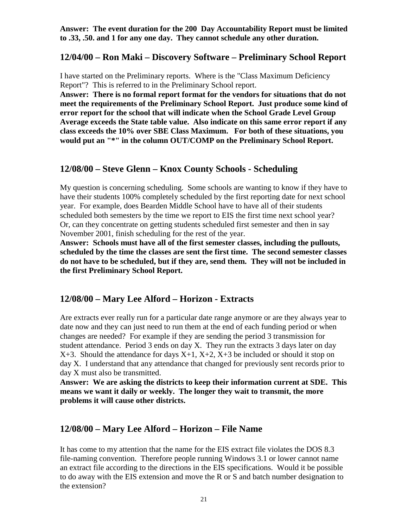**Answer: The event duration for the 200 Day Accountability Report must be limited to .33, .50. and 1 for any one day. They cannot schedule any other duration.**

### **12/04/00 – Ron Maki – Discovery Software – Preliminary School Report**

I have started on the Preliminary reports. Where is the "Class Maximum Deficiency Report"? This is referred to in the Preliminary School report.

**Answer: There is no formal report format for the vendors for situations that do not meet the requirements of the Preliminary School Report. Just produce some kind of error report for the school that will indicate when the School Grade Level Group Average exceeds the State table value. Also indicate on this same error report if any class exceeds the 10% over SBE Class Maximum. For both of these situations, you would put an "\*" in the column OUT/COMP on the Preliminary School Report.**

### **12/08/00 – Steve Glenn – Knox County Schools - Scheduling**

My question is concerning scheduling. Some schools are wanting to know if they have to have their students 100% completely scheduled by the first reporting date for next school year. For example, does Bearden Middle School have to have all of their students scheduled both semesters by the time we report to EIS the first time next school year? Or, can they concentrate on getting students scheduled first semester and then in say November 2001, finish scheduling for the rest of the year.

**Answer: Schools must have all of the first semester classes, including the pullouts, scheduled by the time the classes are sent the first time. The second semester classes do not have to be scheduled, but if they are, send them. They will not be included in the first Preliminary School Report.**

### **12/08/00 – Mary Lee Alford – Horizon - Extracts**

Are extracts ever really run for a particular date range anymore or are they always year to date now and they can just need to run them at the end of each funding period or when changes are needed? For example if they are sending the period 3 transmission for student attendance. Period 3 ends on day X. They run the extracts 3 days later on day  $X+3$ . Should the attendance for days  $X+1$ ,  $X+2$ ,  $X+3$  be included or should it stop on day X. I understand that any attendance that changed for previously sent records prior to day X must also be transmitted.

**Answer: We are asking the districts to keep their information current at SDE. This means we want it daily or weekly. The longer they wait to transmit, the more problems it will cause other districts.**

### **12/08/00 – Mary Lee Alford – Horizon – File Name**

It has come to my attention that the name for the EIS extract file violates the DOS 8.3 file-naming convention. Therefore people running Windows 3.1 or lower cannot name an extract file according to the directions in the EIS specifications. Would it be possible to do away with the EIS extension and move the R or S and batch number designation to the extension?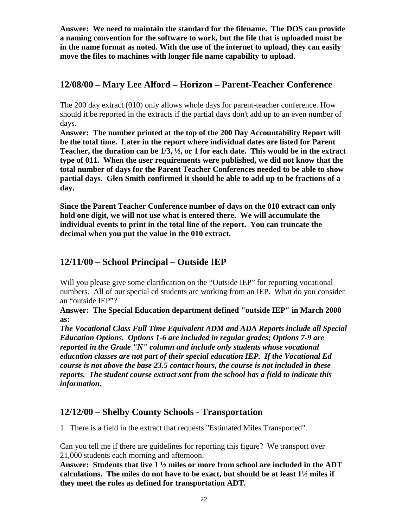**Answer: We need to maintain the standard for the filename. The DOS can provide a naming convention for the software to work, but the file that is uploaded must be in the name format as noted. With the use of the internet to upload, they can easily move the files to machines with longer file name capability to upload.**

## **12/08/00 – Mary Lee Alford – Horizon – Parent-Teacher Conference**

The 200 day extract (010) only allows whole days for parent-teacher conference. How should it be reported in the extracts if the partial days don't add up to an even number of days.

**Answer: The number printed at the top of the 200 Day Accountability Report will be the total time. Later in the report where individual dates are listed for Parent Teacher, the duration can be 1/3, ½, or 1 for each date. This would be in the extract type of 011. When the user requirements were published, we did not know that the total number of days for the Parent Teacher Conferences needed to be able to show partial days. Glen Smith confirmed it should be able to add up to be fractions of a day.**

**Since the Parent Teacher Conference number of days on the 010 extract can only hold one digit, we will not use what is entered there. We will accumulate the individual events to print in the total line of the report. You can truncate the decimal when you put the value in the 010 extract.**

# **12/11/00 – School Principal – Outside IEP**

Will you please give some clarification on the "Outside IEP" for reporting vocational numbers. All of our special ed students are working from an IEP. What do you consider an "outside IEP"?

**Answer: The Special Education department defined "outside IEP" in March 2000 as:**

*The Vocational Class Full Time Equivalent ADM and ADA Reports include all Special Education Options. Options 1-6 are included in regular grades; Options 7-9 are reported in the Grade "N" column and include only students whose vocational education classes are not part of their special education IEP. If the Vocational Ed course is not above the base 23.5 contact hours, the course is not included in these reports. The student course extract sent from the school has a field to indicate this information.*

## **12/12/00 – Shelby County Schools - Transportation**

1. There is a field in the extract that requests "Estimated Miles Transported".

Can you tell me if there are guidelines for reporting this figure? We transport over 21,000 students each morning and afternoon.

**Answer: Students that live 1 ½ miles or more from school are included in the ADT calculations. The miles do not have to be exact, but should be at least 1½ miles if they meet the rules as defined for transportation ADT.**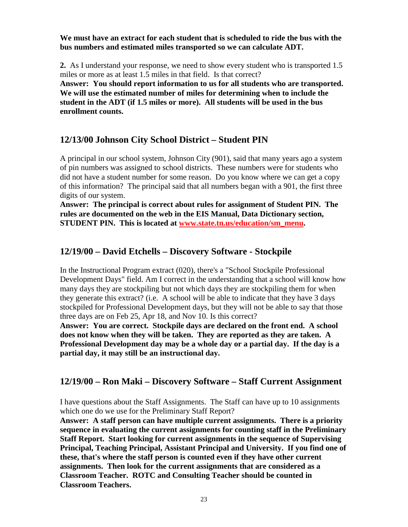**We must have an extract for each student that is scheduled to ride the bus with the bus numbers and estimated miles transported so we can calculate ADT.**

**2.** As I understand your response, we need to show every student who is transported 1.5 miles or more as at least 1.5 miles in that field. Is that correct?

**Answer: You should report information to us for all students who are transported. We will use the estimated number of miles for determining when to include the student in the ADT (if 1.5 miles or more). All students will be used in the bus enrollment counts.**

## **12/13/00 Johnson City School District – Student PIN**

A principal in our school system, Johnson City (901), said that many years ago a system of pin numbers was assigned to school districts. These numbers were for students who did not have a student number for some reason. Do you know where we can get a copy of this information? The principal said that all numbers began with a 901, the first three digits of our system.

**Answer: The principal is correct about rules for assignment of Student PIN. The rules are documented on the web in the EIS Manual, Data Dictionary section, STUDENT PIN. This is located at www.state.tn.us/education/sm\_menu.**

## **12/19/00 – David Etchells – Discovery Software - Stockpile**

In the Instructional Program extract (020), there's a "School Stockpile Professional Development Days" field. Am I correct in the understanding that a school will know how many days they are stockpiling but not which days they are stockpiling them for when they generate this extract? (i.e. A school will be able to indicate that they have 3 days stockpiled for Professional Development days, but they will not be able to say that those three days are on Feb 25, Apr 18, and Nov 10. Is this correct?

**Answer: You are correct. Stockpile days are declared on the front end. A school does not know when they will be taken. They are reported as they are taken. A Professional Development day may be a whole day or a partial day. If the day is a partial day, it may still be an instructional day.**

# **12/19/00 – Ron Maki – Discovery Software – Staff Current Assignment**

I have questions about the Staff Assignments. The Staff can have up to 10 assignments which one do we use for the Preliminary Staff Report?

**Answer: A staff person can have multiple current assignments. There is a priority sequence in evaluating the current assignments for counting staff in the Preliminary Staff Report. Start looking for current assignments in the sequence of Supervising Principal, Teaching Principal, Assistant Principal and University. If you find one of these, that's where the staff person is counted even if they have other current assignments. Then look for the current assignments that are considered as a Classroom Teacher. ROTC and Consulting Teacher should be counted in Classroom Teachers.**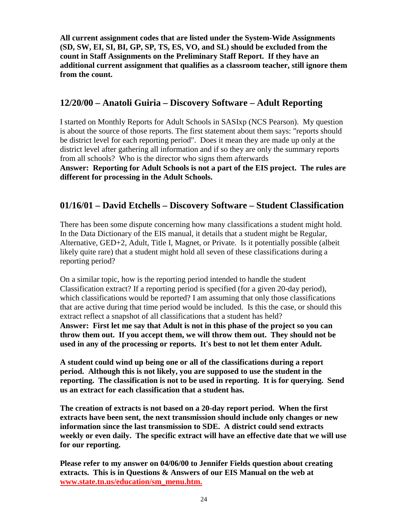**All current assignment codes that are listed under the System-Wide Assignments (SD, SW, EI, SI, BI, GP, SP, TS, ES, VO, and SL) should be excluded from the count in Staff Assignments on the Preliminary Staff Report. If they have an additional current assignment that qualifies as a classroom teacher, still ignore them from the count.**

## **12/20/00 – Anatoli Guiria – Discovery Software – Adult Reporting**

I started on Monthly Reports for Adult Schools in SASIxp (NCS Pearson). My question is about the source of those reports. The first statement about them says: "reports should be district level for each reporting period". Does it mean they are made up only at the district level after gathering all information and if so they are only the summary reports from all schools? Who is the director who signs them afterwards

**Answer: Reporting for Adult Schools is not a part of the EIS project. The rules are different for processing in the Adult Schools.**

# **01/16/01 – David Etchells – Discovery Software – Student Classification**

There has been some dispute concerning how many classifications a student might hold. In the Data Dictionary of the EIS manual, it details that a student might be Regular, Alternative, GED+2, Adult, Title I, Magnet, or Private. Is it potentially possible (albeit likely quite rare) that a student might hold all seven of these classifications during a reporting period?

On a similar topic, how is the reporting period intended to handle the student Classification extract? If a reporting period is specified (for a given 20-day period), which classifications would be reported? I am assuming that only those classifications that are active during that time period would be included. Is this the case, or should this extract reflect a snapshot of all classifications that a student has held? **Answer: First let me say that Adult is not in this phase of the project so you can throw them out. If you accept them, we will throw them out. They should not be used in any of the processing or reports. It's best to not let them enter Adult.**

**A student could wind up being one or all of the classifications during a report period. Although this is not likely, you are supposed to use the student in the reporting. The classification is not to be used in reporting. It is for querying. Send us an extract for each classification that a student has.**

**The creation of extracts is not based on a 20-day report period. When the first extracts have been sent, the next transmission should include only changes or new information since the last transmission to SDE. A district could send extracts weekly or even daily. The specific extract will have an effective date that we will use for our reporting.**

**Please refer to my answer on 04/06/00 to Jennifer Fields question about creating extracts. This is in Questions & Answers of our EIS Manual on the web at www.state.tn.us/education/sm\_menu.htm.**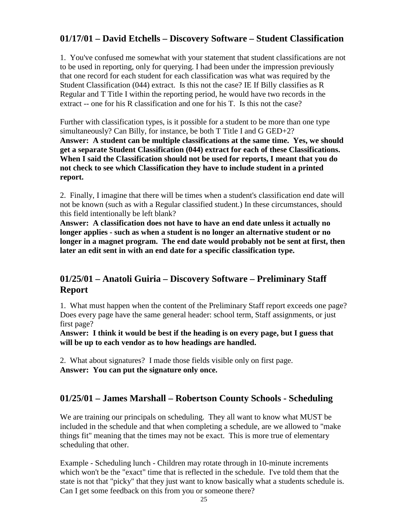# **01/17/01 – David Etchells – Discovery Software – Student Classification**

1. You've confused me somewhat with your statement that student classifications are not to be used in reporting, only for querying. I had been under the impression previously that one record for each student for each classification was what was required by the Student Classification (044) extract. Is this not the case? IE If Billy classifies as R Regular and T Title I within the reporting period, he would have two records in the extract -- one for his R classification and one for his T. Is this not the case?

Further with classification types, is it possible for a student to be more than one type simultaneously? Can Billy, for instance, be both T Title I and G GED+2? **Answer: A student can be multiple classifications at the same time. Yes, we should get a separate Student Classification (044) extract for each of these Classifications. When I said the Classification should not be used for reports, I meant that you do not check to see which Classification they have to include student in a printed report.**

2. Finally, I imagine that there will be times when a student's classification end date will not be known (such as with a Regular classified student.) In these circumstances, should this field intentionally be left blank?

**Answer: A classification does not have to have an end date unless it actually no longer applies - such as when a student is no longer an alternative student or no longer in a magnet program. The end date would probably not be sent at first, then later an edit sent in with an end date for a specific classification type.**

# **01/25/01 – Anatoli Guiria – Discovery Software – Preliminary Staff Report**

1. What must happen when the content of the Preliminary Staff report exceeds one page? Does every page have the same general header: school term, Staff assignments, or just first page?

**Answer: I think it would be best if the heading is on every page, but I guess that will be up to each vendor as to how headings are handled.**

2. What about signatures? I made those fields visible only on first page. **Answer: You can put the signature only once.**

# **01/25/01 – James Marshall – Robertson County Schools - Scheduling**

We are training our principals on scheduling. They all want to know what MUST be included in the schedule and that when completing a schedule, are we allowed to "make things fit" meaning that the times may not be exact. This is more true of elementary scheduling that other.

Example - Scheduling lunch - Children may rotate through in 10-minute increments which won't be the "exact" time that is reflected in the schedule. I've told them that the state is not that "picky" that they just want to know basically what a students schedule is. Can I get some feedback on this from you or someone there?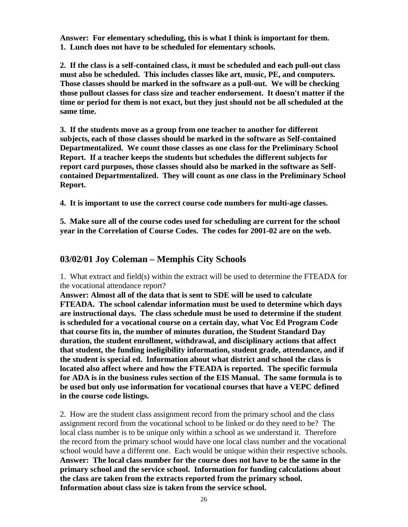**Answer: For elementary scheduling, this is what I think is important for them. 1. Lunch does not have to be scheduled for elementary schools.**

**2. If the class is a self-contained class, it must be scheduled and each pull-out class must also be scheduled. This includes classes like art, music, PE, and computers. Those classes should be marked in the software as a pull-out. We will be checking those pullout classes for class size and teacher endorsement. It doesn't matter if the time or period for them is not exact, but they just should not be all scheduled at the same time.**

**3. If the students move as a group from one teacher to another for different subjects, each of those classes should be marked in the software as Self-contained Departmentalized. We count those classes as one class for the Preliminary School Report. If a teacher keeps the students but schedules the different subjects for report card purposes, those classes should also be marked in the software as Selfcontained Departmentalized. They will count as one class in the Preliminary School Report.**

**4. It is important to use the correct course code numbers for multi-age classes.**

**5. Make sure all of the course codes used for scheduling are current for the school year in the Correlation of Course Codes. The codes for 2001-02 are on the web.**

### **03/02/01 Joy Coleman – Memphis City Schools**

1. What extract and field(s) within the extract will be used to determine the FTEADA for the vocational attendance report?

**Answer: Almost all of the data that is sent to SDE will be used to calculate FTEADA. The school calendar information must be used to determine which days are instructional days. The class schedule must be used to determine if the student is scheduled for a vocational course on a certain day, what Voc Ed Program Code that course fits in, the number of minutes duration, the Student Standard Day duration, the student enrollment, withdrawal, and disciplinary actions that affect that student, the funding ineligibility information, student grade, attendance, and if the student is special ed. Information about what district and school the class is located also affect where and how the FTEADA is reported. The specific formula for ADA is in the business rules section of the EIS Manual. The same formula is to be used but only use information for vocational courses that have a VEPC defined in the course code listings.**

2. How are the student class assignment record from the primary school and the class assignment record from the vocational school to be linked or do they need to be? The local class number is to be unique only within a school as we understand it. Therefore the record from the primary school would have one local class number and the vocational school would have a different one. Each would be unique within their respective schools. **Answer: The local class number for the course does not have to be the same in the primary school and the service school. Information for funding calculations about the class are taken from the extracts reported from the primary school. Information about class size is taken from the service school.**